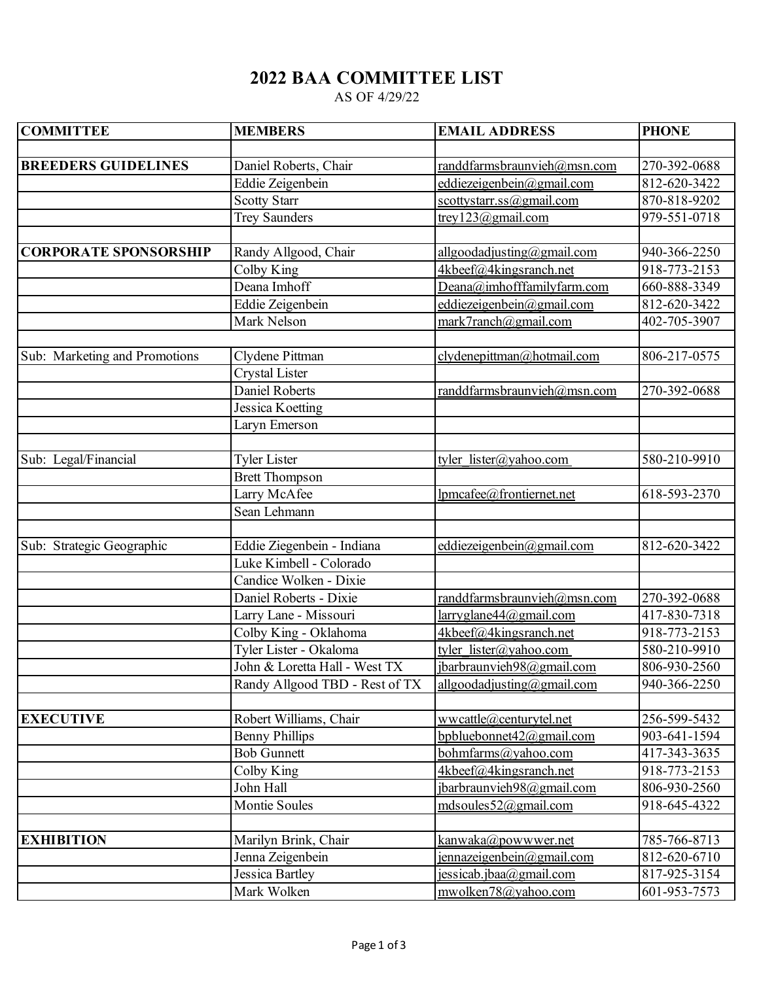## **2022 BAA COMMITTEE LIST**

AS OF 4/29/22

| <b>COMMITTEE</b>              | <b>MEMBERS</b>                 | <b>EMAIL ADDRESS</b>           | <b>PHONE</b> |
|-------------------------------|--------------------------------|--------------------------------|--------------|
|                               |                                |                                |              |
| <b>BREEDERS GUIDELINES</b>    | Daniel Roberts, Chair          | randdfarmsbraunvieh@msn.com    | 270-392-0688 |
|                               | Eddie Zeigenbein               | eddiezeigenbein@gmail.com      | 812-620-3422 |
|                               | <b>Scotty Starr</b>            | scottystarr.ss@gmail.com       | 870-818-9202 |
|                               | <b>Trey Saunders</b>           | trey123@gmail.com              | 979-551-0718 |
|                               |                                |                                |              |
| <b>CORPORATE SPONSORSHIP</b>  | Randy Allgood, Chair           | allgoodadjusting@gmail.com     | 940-366-2250 |
|                               | $\overline{\text{Colby King}}$ | 4kbeef@4kingsranch.net         | 918-773-2153 |
|                               | Deana Imhoff                   | Deana@imhofffamilyfarm.com     | 660-888-3349 |
|                               | Eddie Zeigenbein               | eddiezeigenbein@gmail.com      | 812-620-3422 |
|                               | Mark Nelson                    | mark7ranch@gmail.com           | 402-705-3907 |
|                               |                                |                                |              |
| Sub: Marketing and Promotions | Clydene Pittman                | clydenepittman@hotmail.com     | 806-217-0575 |
|                               | Crystal Lister                 |                                |              |
|                               | <b>Daniel Roberts</b>          | randdfarmsbraunvieh@msn.com    | 270-392-0688 |
|                               | Jessica Koetting               |                                |              |
|                               | Laryn Emerson                  |                                |              |
|                               |                                |                                |              |
| Sub: Legal/Financial          | <b>Tyler Lister</b>            | tyler lister@yahoo.com         | 580-210-9910 |
|                               | <b>Brett Thompson</b>          |                                |              |
|                               | Larry McAfee                   | lpmcafee@frontiernet.net       | 618-593-2370 |
|                               | Sean Lehmann                   |                                |              |
|                               |                                |                                |              |
| Sub: Strategic Geographic     | Eddie Ziegenbein - Indiana     | eddiezeigenbein@gmail.com      | 812-620-3422 |
|                               | Luke Kimbell - Colorado        |                                |              |
|                               | Candice Wolken - Dixie         |                                |              |
|                               | Daniel Roberts - Dixie         | randdfarmsbraunvieh@msn.com    | 270-392-0688 |
|                               | Larry Lane - Missouri          | larryglane44@gmail.com         | 417-830-7318 |
|                               | Colby King - Oklahoma          | 4kbeef@4kingsranch.net         | 918-773-2153 |
|                               | Tyler Lister - Okaloma         | tyler lister@yahoo.com         | 580-210-9910 |
|                               | John & Loretta Hall - West TX  | jbarbraunvieh98@gmail.com      | 806-930-2560 |
|                               | Randy Allgood TBD - Rest of TX | allgoodadjusting@gmail.com     | 940-366-2250 |
|                               |                                |                                |              |
| <b>EXECUTIVE</b>              | Robert Williams, Chair         | wwcattle@centurytel.net        | 256-599-5432 |
|                               | <b>Benny Phillips</b>          | bpbluebonnet42@gmail.com       | 903-641-1594 |
|                               | <b>Bob Gunnett</b>             | bohmfarms@yahoo.com            | 417-343-3635 |
|                               | Colby King                     | 4kbeef@4kingsranch.net         | 918-773-2153 |
|                               | John Hall                      | jbarbraunvieh98@gmail.com      | 806-930-2560 |
|                               | Montie Soules                  | mdsoules52@gmail.com           | 918-645-4322 |
|                               |                                |                                |              |
| <b>EXHIBITION</b>             | Marilyn Brink, Chair           | kanwaka@powwwer.net            | 785-766-8713 |
|                               | Jenna Zeigenbein               | jennazeigenbein@gmail.com      | 812-620-6710 |
|                               | Jessica Bartley                | <u>jessicab.jbaa@gmail.com</u> | 817-925-3154 |
|                               | Mark Wolken                    | mwolken78@yahoo.com            | 601-953-7573 |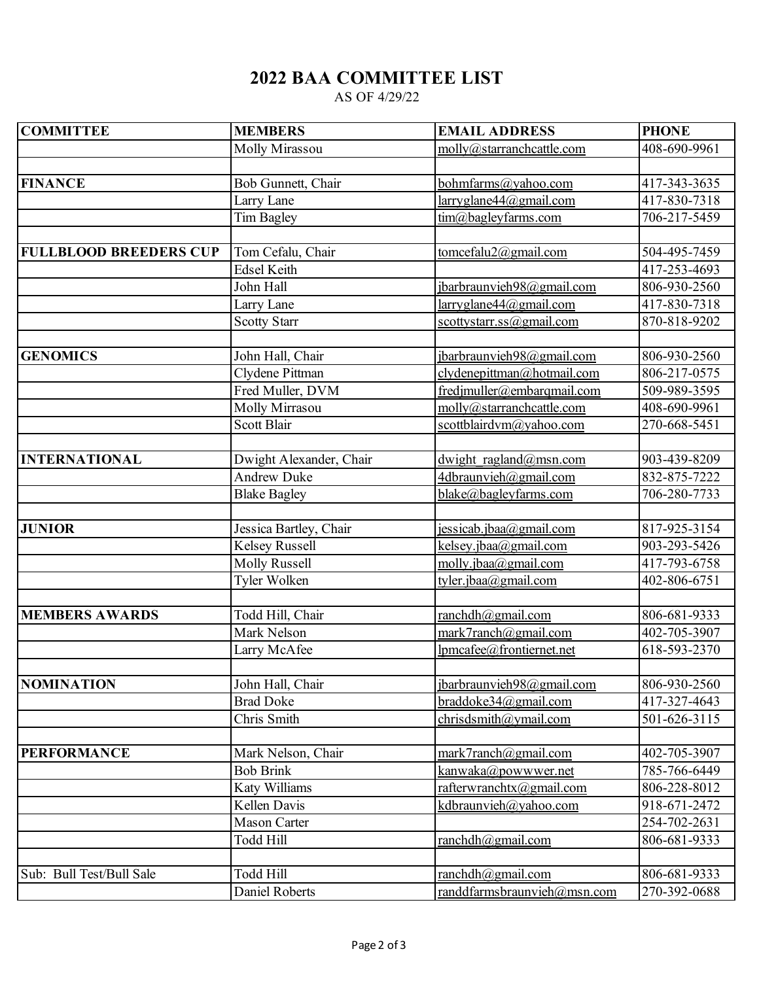## **2022 BAA COMMITTEE LIST**

AS OF 4/29/22

| <b>COMMITTEE</b>              | <b>MEMBERS</b>          | <b>EMAIL ADDRESS</b>        | <b>PHONE</b>               |
|-------------------------------|-------------------------|-----------------------------|----------------------------|
|                               | <b>Molly Mirassou</b>   | molly@starranchcattle.com   | 408-690-9961               |
|                               |                         |                             |                            |
| <b>FINANCE</b>                | Bob Gunnett, Chair      | bohmfarms@yahoo.com         | 417-343-3635               |
|                               | Larry Lane              | larryglane44@gmail.com      | $\overline{41}$ 7-830-7318 |
|                               | <b>Tim Bagley</b>       | tim@bagleyfarms.com         | 706-217-5459               |
|                               |                         |                             |                            |
| <b>FULLBLOOD BREEDERS CUP</b> | Tom Cefalu, Chair       | tomcefalu2@gmail.com        | 504-495-7459               |
|                               | Edsel Keith             |                             | 417-253-4693               |
|                               | John Hall               | jbarbraunvieh98@gmail.com   | 806-930-2560               |
|                               | Larry Lane              | larryglane44@gmail.com      | 417-830-7318               |
|                               | <b>Scotty Starr</b>     | scottystarr.ss@gmail.com    | 870-818-9202               |
|                               |                         |                             |                            |
| <b>GENOMICS</b>               | John Hall, Chair        | jbarbraunvieh98@gmail.com   | 806-930-2560               |
|                               | Clydene Pittman         | clydenepittman@hotmail.com  | 806-217-0575               |
|                               | Fred Muller, DVM        | fredjmuller@embarqmail.com  | 509-989-3595               |
|                               | Molly Mirrasou          | molly@starranchcattle.com   | 408-690-9961               |
|                               | Scott Blair             | scottblairdvm@yahoo.com     | 270-668-5451               |
|                               |                         |                             |                            |
| <b>INTERNATIONAL</b>          | Dwight Alexander, Chair | dwight ragland@msn.com      | 903-439-8209               |
|                               | <b>Andrew Duke</b>      | 4dbraunvieh@gmail.com       | 832-875-7222               |
|                               | <b>Blake Bagley</b>     | blake@bagleyfarms.com       | 706-280-7733               |
|                               |                         |                             |                            |
| <b>JUNIOR</b>                 | Jessica Bartley, Chair  | jessicab. jbaa@gmail.com    | 817-925-3154               |
|                               | <b>Kelsey Russell</b>   | kelsey.jbaa@gmail.com       | 903-293-5426               |
|                               | <b>Molly Russell</b>    | molly.jbaa@gmail.com        | 417-793-6758               |
|                               | Tyler Wolken            | tyler.jbaa@gmail.com        | 402-806-6751               |
|                               |                         |                             |                            |
| <b>MEMBERS AWARDS</b>         | Todd Hill, Chair        | ranchdh@gmail.com           | 806-681-9333               |
|                               | Mark Nelson             | mark7ranch@gmail.com        | 402-705-3907               |
|                               | Larry McAfee            | lpmcafee@frontiernet.net    | 618-593-2370               |
|                               |                         |                             |                            |
| NOMINATION                    | John Hall, Chair        | jbarbraunvieh98@gmail.com   | 806-930-2560               |
|                               | <b>Brad Doke</b>        | braddoke34@gmail.com        | 417-327-4643               |
|                               | Chris Smith             | chrisdsmith@ymail.com       | 501-626-3115               |
|                               |                         |                             |                            |
| <b>PERFORMANCE</b>            | Mark Nelson, Chair      | mark7ranch@gmail.com        | 402-705-3907               |
|                               | <b>Bob Brink</b>        | <u>kanwaka@powwwer.net</u>  | 785-766-6449               |
|                               | Katy Williams           | rafterwranchtx@gmail.com    | 806-228-8012               |
|                               | Kellen Davis            | kdbraunvieh@yahoo.com       | 918-671-2472               |
|                               | <b>Mason Carter</b>     |                             | 254-702-2631               |
|                               | <b>Todd Hill</b>        | ranchdh@gmail.com           | 806-681-9333               |
|                               |                         |                             |                            |
| Sub: Bull Test/Bull Sale      | Todd Hill               | ranchdh@gmail.com           | 806-681-9333               |
|                               | Daniel Roberts          | randdfarmsbraunvieh@msn.com | 270-392-0688               |